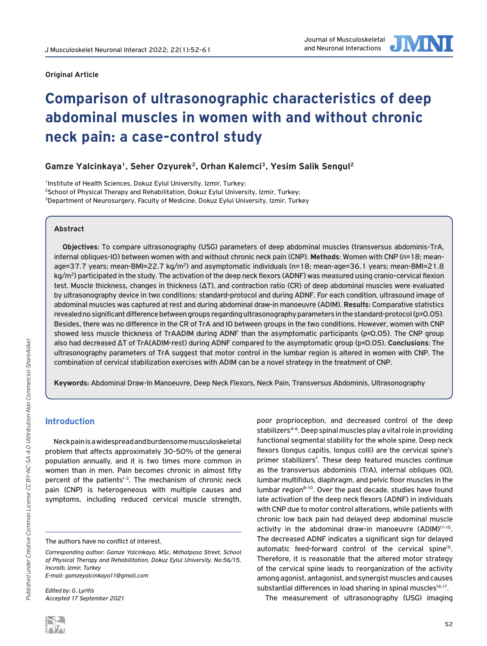

# **Comparison of ultrasonographic characteristics of deep abdominal muscles in women with and without chronic neck pain: a case-control study**

**Gamze Yalcinkaya1, Seher Ozyurek2, Orhan Kalemci3, Yesim Salik Sengul2**

<sup>1</sup>Institute of Health Sciences, Dokuz Eylul University, Izmir, Turkey: 2School of Physical Therapy and Rehabilitation, Dokuz Eylul University, Izmir, Turkey; <sup>3</sup>Department of Neurosurgery, Faculty of Medicine, Dokuz Eylul University, Izmir, Turkey

## **Abstract**

**Objectives**: To compare ultrasonography (USG) parameters of deep abdominal muscles (transversus abdominis-TrA, internal obliques-IO) between women with and without chronic neck pain (CNP). **Methods**: Women with CNP (n=18; meanage=37.7 years; mean-BMI=22.7 kg/m<sup>2</sup>) and asymptomatic individuals (n=18; mean-age=36.1 years; mean-BMI=21.8 kg/m<sup>2</sup>) participated in the study. The activation of the deep neck flexors (ADNF) was measured using cranio-cervical flexion test. Muscle thickness, changes in thickness (ΔT), and contraction ratio (CR) of deep abdominal muscles were evaluated by ultrasonography device in two conditions: standard-protocol and during ADNF. For each condition, ultrasound image of abdominal muscles was captured at rest and during abdominal draw-in manoeuvre (ADIM). **Results**: Comparative statistics revealed no significant difference between groups regarding ultrasonography parameters in the standard-protocol (p>0.05). Besides, there was no difference in the CR of TrA and IO between groups in the two conditions. However, women with CNP showed less muscle thickness of TrAADIM during ADNF than the asymptomatic participants (p<0.05). The CNP group also had decreased ΔT of TrA(ADIM-rest) during ADNF compared to the asymptomatic group (p<0.05). **Conclusions**: The ultrasonography parameters of TrA suggest that motor control in the lumbar region is altered in women with CNP. The combination of cervical stabilization exercises with ADIM can be a novel strategy in the treatment of CNP.

**Keywords:** Abdominal Draw-In Manoeuvre, Deep Neck Flexors, Neck Pain, Transversus Abdominis, Ultrasonography

# **Introduction**

Neck pain is a widespread and burdensome musculoskeletal problem that affects approximately 30-50% of the general population annually, and it is two times more common in women than in men. Pain becomes chronic in almost fifty percent of the patients<sup>1-3</sup>. The mechanism of chronic neck pain (CNP) is heterogeneous with multiple causes and symptoms, including reduced cervical muscle strength,

*Edited by: G. Lyritis Accepted 17 September 2021* poor proprioception, and decreased control of the deep stabilizers<sup>4-6</sup>. Deep spinal muscles play a vital role in providing functional segmental stability for the whole spine. Deep neck flexors (longus capitis, longus colli) are the cervical spine's primer stabilizers<sup>7</sup>. These deep featured muscles continue as the transversus abdominis (TrA), internal obliques (IO), lumbar multifidus, diaphragm, and pelvic floor muscles in the lumbar region<sup>8-10</sup>. Over the past decade, studies have found late activation of the deep neck flexors (ADNF) in individuals with CNP due to motor control alterations, while patients with chronic low back pain had delayed deep abdominal muscle activity in the abdominal draw-in manoeuvre (ADIM)<sup>11-15</sup>. The decreased ADNF indicates a significant sign for delayed automatic feed-forward control of the cervical spine<sup>15</sup>. Therefore, it is reasonable that the altered motor strategy of the cervical spine leads to reorganization of the activity among agonist, antagonist, and synergist muscles and causes substantial differences in load sharing in spinal muscles<sup>16,17</sup>.

The measurement of ultrasonography (USG) imaging



The authors have no conflict of interest.

*Corresponding author: Gamze Yalcinkaya, MSc, Mıthatpasa Street, School of Physical Therapy and Rehabilitation, Dokuz Eylul University, No:56/15, Incıraltı, Izmir, Turkey E-mail: gamzeyalcinkaya11@gmail.com*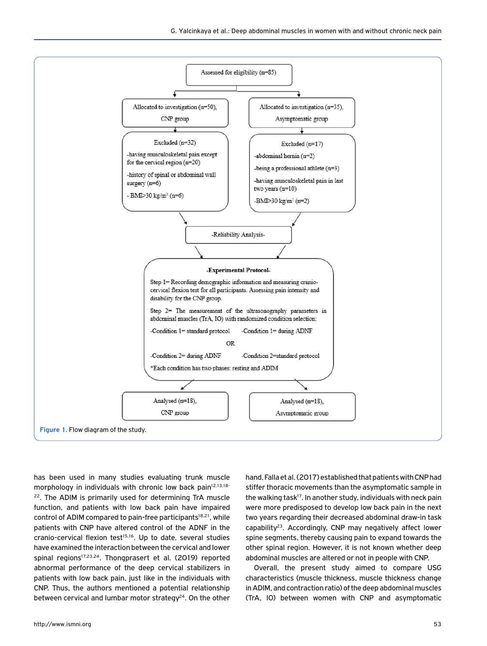

has been used in many studies evaluating trunk muscle morphology in individuals with chronic low back pain<sup>12,13,18-</sup> <sup>22</sup>. The ADIM is primarily used for determining TrA muscle function, and patients with low back pain have impaired control of ADIM compared to pain-free participants<sup>18,21</sup>, while patients with CNP have altered control of the ADNF in the cranio-cervical flexion test<sup>15,16</sup>. Up to date, several studies have examined the interaction between the cervical and lower spinal regions<sup>17,23,24</sup>. Thongprasert et al. (2019) reported abnormal performance of the deep cervical stabilizers in patients with low back pain, just like in the individuals with CNP. Thus, the authors mentioned a potential relationship between cervical and lumbar motor strategy $24$ . On the other hand, Falla et al. (2017) established that patients with CNP had stiffer thoracic movements than the asymptomatic sample in the walking task<sup>17</sup>. In another study, individuals with neck pain were more predisposed to develop low back pain in the next two years regarding their decreased abdominal draw-in task capability<sup>23</sup>. Accordingly, CNP may negatively affect lower spine segments, thereby causing pain to expand towards the other spinal region. However, it is not known whether deep abdominal muscles are altered or not in people with CNP.

Overall, the present study aimed to compare USG characteristics (muscle thickness, muscle thickness change in ADIM, and contraction ratio) of the deep abdominal muscles (TrA, IO) between women with CNP and asymptomatic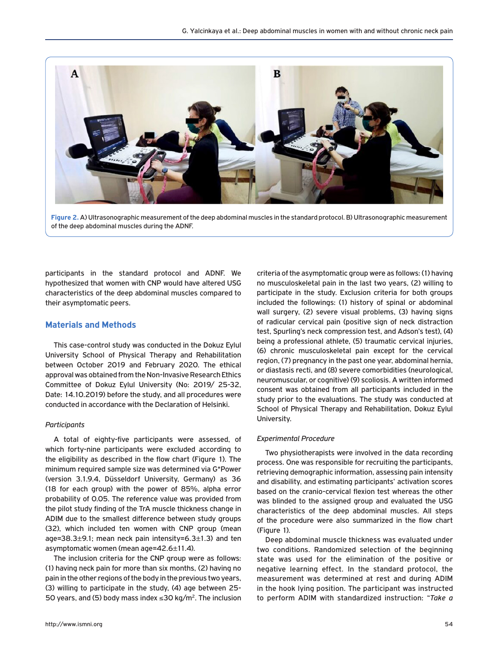

**Figure 2.** A) Ultrasonographic measurement of the deep abdominal muscles in the standard protocol. B) Ultrasonographic measurement of the deep abdominal muscles during the ADNF.

participants in the standard protocol and ADNF. We hypothesized that women with CNP would have altered USG characteristics of the deep abdominal muscles compared to their asymptomatic peers.

# **Materials and Methods**

This case-control study was conducted in the Dokuz Eylul University School of Physical Therapy and Rehabilitation between October 2019 and February 2020. The ethical approval was obtained from the Non-Invasive Research Ethics Committee of Dokuz Eylul University (No: 2019/ 25-32, Date: 14.10.2019) before the study, and all procedures were conducted in accordance with the Declaration of Helsinki.

#### *Participants*

A total of eighty-five participants were assessed, of which forty-nine participants were excluded according to the eligibility as described in the flow chart (Figure 1). The minimum required sample size was determined via G\*Power (version 3.1.9.4, Düsseldorf University, Germany) as 36 (18 for each group) with the power of 85%, alpha error probability of 0.05. The reference value was provided from the pilot study finding of the TrA muscle thickness change in ADIM due to the smallest difference between study groups (32), which included ten women with CNP group (mean age=38.3 $\pm$ 9.1; mean neck pain intensity=6.3 $\pm$ 1.3) and ten asymptomatic women (mean age=42.6±11.4).

The inclusion criteria for the CNP group were as follows: (1) having neck pain for more than six months, (2) having no pain in the other regions of the body in the previous two years, (3) willing to participate in the study, (4) age between 25- 50 years, and (5) body mass index  $\leq$ 30 kg/m<sup>2</sup>. The inclusion

http://www.ismni.org 54

criteria of the asymptomatic group were as follows: (1) having no musculoskeletal pain in the last two years, (2) willing to participate in the study. Exclusion criteria for both groups included the followings: (1) history of spinal or abdominal wall surgery, (2) severe visual problems, (3) having signs of radicular cervical pain (positive sign of neck distraction test, Spurling's neck compression test, and Adson's test), (4) being a professional athlete, (5) traumatic cervical injuries, (6) chronic musculoskeletal pain except for the cervical region, (7) pregnancy in the past one year, abdominal hernia, or diastasis recti, and (8) severe comorbidities (neurological, neuromuscular, or cognitive) (9) scoliosis. A written informed consent was obtained from all participants included in the study prior to the evaluations. The study was conducted at School of Physical Therapy and Rehabilitation, Dokuz Eylul University.

#### *Experimental Procedure*

Two physiotherapists were involved in the data recording process. One was responsible for recruiting the participants, retrieving demographic information, assessing pain intensity and disability, and estimating participants' activation scores based on the cranio-cervical flexion test whereas the other was blinded to the assigned group and evaluated the USG characteristics of the deep abdominal muscles. All steps of the procedure were also summarized in the flow chart (Figure 1).

Deep abdominal muscle thickness was evaluated under two conditions. Randomized selection of the beginning state was used for the elimination of the positive or negative learning effect. In the standard protocol, the measurement was determined at rest and during ADIM in the hook lying position. The participant was instructed to perform ADIM with standardized instruction: "*Take a*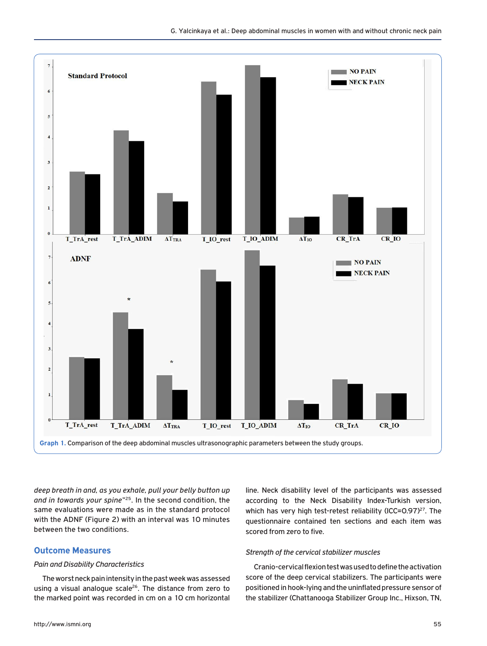

*deep breath in and, as you exhale, pull your belly button up and in towards your spine*"25. In the second condition, the same evaluations were made as in the standard protocol with the ADNF (Figure 2) with an interval was 10 minutes between the two conditions.

# **Outcome Measures**

#### *Pain and Disability Characteristics*

The worst neck pain intensity in the past week was assessed using a visual analogue scale<sup>26</sup>. The distance from zero to the marked point was recorded in cm on a 10 cm horizontal

according to the Neck Disability Index-Turkish version, which has very high test-retest reliability (ICC=0.97)<sup>27</sup>. The questionnaire contained ten sections and each item was scored from zero to five.

line. Neck disability level of the participants was assessed

## *Strength of the cervical stabilizer muscles*

Cranio-cervical flexion test was used to define the activation score of the deep cervical stabilizers. The participants were positioned in hook-lying and the uninflated pressure sensor of the stabilizer (Chattanooga Stabilizer Group Inc., Hixson, TN,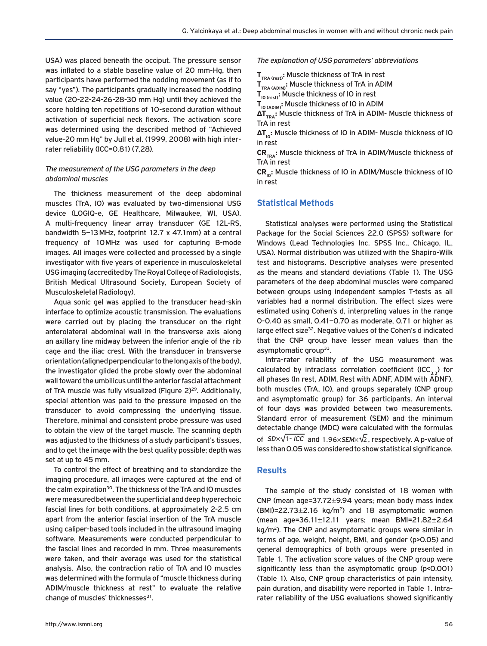USA) was placed beneath the occiput. The pressure sensor was inflated to a stable baseline value of 20 mm-Hg, then participants have performed the nodding movement (as if to say "yes"). The participants gradually increased the nodding value (20-22-24-26-28-30 mm Hg) until they achieved the score holding ten repetitions of 10-second duration without activation of superficial neck flexors. The activation score was determined using the described method of "Achieved value-20 mm Hg" by Jull et al. (1999, 2008) with high interrater reliability (ICC=0.81) (7,28).

#### *The measurement of the USG parameters in the deep abdominal muscles*

The thickness measurement of the deep abdominal muscles (TrA, IO) was evaluated by two-dimensional USG device (LOGIQ-e, GE Healthcare, Milwaukee, WI, USA). A multi-frequency linear array transducer (GE 12L-RS, bandwidth 5–13MHz, footprint 12.7 x 47.1mm) at a central frequency of 10MHz was used for capturing B-mode images. All images were collected and processed by a single investigator with five years of experience in musculoskeletal USG imaging (accredited by The Royal College of Radiologists, British Medical Ultrasound Society, European Society of Musculoskeletal Radiology).

Aqua sonic gel was applied to the transducer head-skin interface to optimize acoustic transmission. The evaluations were carried out by placing the transducer on the right anterolateral abdominal wall in the transverse axis along an axillary line midway between the inferior angle of the rib cage and the iliac crest. With the transducer in transverse orientation (aligned perpendicular to the long axis of the body), the investigator glided the probe slowly over the abdominal wall toward the umbilicus until the anterior fascial attachment of TrA muscle was fully visualized (Figure 2)<sup>29</sup>. Additionally, special attention was paid to the pressure imposed on the transducer to avoid compressing the underlying tissue. Therefore, minimal and consistent probe pressure was used to obtain the view of the target muscle. The scanning depth was adjusted to the thickness of a study participant's tissues, and to get the image with the best quality possible; depth was set at up to 45 mm.

To control the effect of breathing and to standardize the imaging procedure, all images were captured at the end of the calm expiration<sup>30</sup>. The thickness of the TrA and IO muscles were measured between the superficial and deep hyperechoic fascial lines for both conditions, at approximately 2-2.5 cm apart from the anterior fascial insertion of the TrA muscle using caliper-based tools included in the ultrasound imaging software. Measurements were conducted perpendicular to the fascial lines and recorded in mm. Three measurements were taken, and their average was used for the statistical analysis. Also, the contraction ratio of TrA and IO muscles was determined with the formula of "muscle thickness during ADIM/muscle thickness at rest" to evaluate the relative change of muscles' thicknesses $31$ .

*The explanation of USG parameters' abbreviations*

T<sub>TRA (rest)</sub>: Muscle thickness of TrA in rest

**TTRA (ADIM):** Muscle thickness of TrA in ADIM

T<sub>IO (ADIM)</sub>: Muscle thickness of IO in ADIM

**ΔT<sub>TRA</sub>:** Muscle thickness of TrA in ADIM- Muscle thickness of TrA in rest

**ΔT<sub>I0</sub>:** Muscle thickness of IO in ADIM- Muscle thickness of IO in rest

CR<sub>TRA</sub>: Muscle thickness of TrA in ADIM/Muscle thickness of TrA in rest

CR<sub>IO</sub>: Muscle thickness of IO in ADIM/Muscle thickness of IO in rest

## **Statistical Methods**

Statistical analyses were performed using the Statistical Package for the Social Sciences 22.0 (SPSS) software for Windows (Lead Technologies Inc. SPSS Inc., Chicago, IL, USA). Normal distribution was utilized with the Shapiro-Wilk test and histograms. Descriptive analyses were presented as the means and standard deviations (Table 1). The USG parameters of the deep abdominal muscles were compared between groups using independent samples T-tests as all variables had a normal distribution. The effect sizes were estimated using Cohen's d, interpreting values in the range 0-0.40 as small, 0.41–0.70 as moderate, 0.71 or higher as large effect size32. Negative values of the Cohen's d indicated that the CNP group have lesser mean values than the asymptomatic group<sup>33</sup>.

Intra-rater reliability of the USG measurement was calculated by intraclass correlation coefficient (ICC<sub>3,3</sub>) for all phases (In rest, ADIM, Rest with ADNF, ADIM with ADNF), both muscles (TrA, IO), and groups separately (CNP group and asymptomatic group) for 36 participants. An interval of four days was provided between two measurements. Standard error of measurement (SEM) and the minimum detectable change (MDC) were calculated with the formulas of *SD×*√1-*ICC* and 1.96×*SEM*×√2, respectively. A p-value of less than 0.05 was considered to show statistical significance.

# **Results**

The sample of the study consisted of 18 women with CNP (mean age=37.72±9.94 years; mean body mass index  $(BMI)=22.73\pm2.16$  kg/m<sup>2</sup>) and 18 asymptomatic women (mean age=36.11±12.11 years; mean BMI=21.82±2.64 kg/m<sup>2</sup>). The CNP and asymptomatic groups were similar in terms of age, weight, height, BMI, and gender (p>0.05) and general demographics of both groups were presented in Table 1. The activation score values of the CNP group were significantly less than the asymptomatic group (p<0.001) (Table 1). Also, CNP group characteristics of pain intensity, pain duration, and disability were reported in Table 1. Intrarater reliability of the USG evaluations showed significantly

T<sub>IO (rest)</sub>: Muscle thickness of IO in rest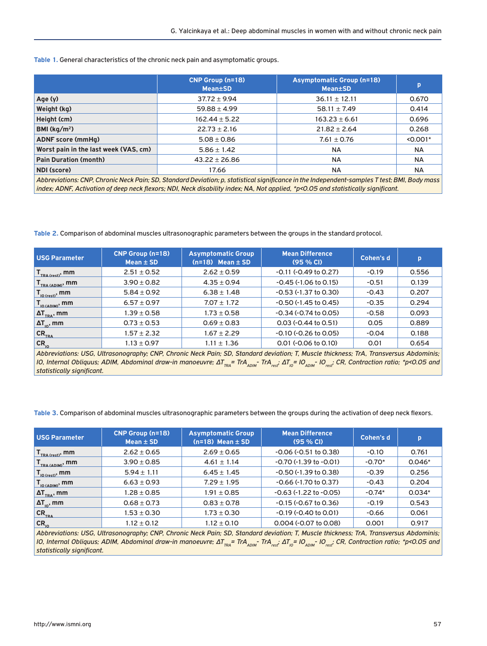**Table 1.** General characteristics of the chronic neck pain and asymptomatic groups.

|                                                                                                                                              | <b>CNP Group (n=18)</b><br><b>Mean±SD</b> | <b>Asymptomatic Group (n=18)</b><br><b>Mean±SD</b> | p          |  |  |  |  |  |  |
|----------------------------------------------------------------------------------------------------------------------------------------------|-------------------------------------------|----------------------------------------------------|------------|--|--|--|--|--|--|
| Age(y)                                                                                                                                       | $37.72 \pm 9.94$                          | $36.11 \pm 12.11$                                  | 0.670      |  |  |  |  |  |  |
| Weight (kg)                                                                                                                                  | $59.88 \pm 4.99$                          | 58.11 $\pm$ 7.49                                   | 0.414      |  |  |  |  |  |  |
| Height (cm)                                                                                                                                  | $162.44 \pm 5.22$                         | $163.23 \pm 6.61$                                  | 0.696      |  |  |  |  |  |  |
| BMI ( $\text{kg/m}^2$ )                                                                                                                      | $22.73 \pm 2.16$                          | $21.82 \pm 2.64$                                   | 0.268      |  |  |  |  |  |  |
| <b>ADNF</b> score (mmHg)                                                                                                                     | $5.08 \pm 0.86$                           | $7.61 \pm 0.76$                                    | $< 0.001*$ |  |  |  |  |  |  |
| Worst pain in the last week (VAS, cm)                                                                                                        | $5.86 \pm 1.42$                           | <b>NA</b>                                          | <b>NA</b>  |  |  |  |  |  |  |
| <b>Pain Duration (month)</b>                                                                                                                 | $43.22 \pm 26.86$                         | NA.                                                | <b>NA</b>  |  |  |  |  |  |  |
| NDI (score)                                                                                                                                  | 17.66                                     | NA.                                                | <b>NA</b>  |  |  |  |  |  |  |
| Abbreviations: CNP, Chronic Neck Pain; SD, Standard Deviation; p, statistical significance in the Independent-samples T test; BMI, Body mass |                                           |                                                    |            |  |  |  |  |  |  |

*index; ADNF, Activation of deep neck flexors; NDI, Neck disability index; NA, Not applied, \*p<0.05 and statistically significant.*

**Table 2.** Comparison of abdominal muscles ultrasonographic parameters between the groups in the standard protocol.

| USG Parameter                                             | <b>CNP Group (n=18)</b><br>Mean $\pm$ SD | <b>Asymptomatic Group</b><br>$(n=18)$ Mean $\pm$ SD | <b>Mean Difference</b><br>$(95%$ CI) | Cohen's d | p     |
|-----------------------------------------------------------|------------------------------------------|-----------------------------------------------------|--------------------------------------|-----------|-------|
| $\mathbf{I}_{\text{TRA (rest)}}$ , mm                     | $2.51 \pm 0.52$                          | $2.62 \pm 0.59$                                     | $-0.11$ ( $-0.49$ to $0.27$ )        | $-0.19$   | 0.556 |
| $\mathbf{I}_{\text{TRA (ADIM)}}$ , mm                     | $3.90 \pm 0.82$                          | $4.35 \pm 0.94$                                     | $-0.45$ ( $-1.06$ to 0.15)           | $-0.51$   | 0.139 |
| $\mathsf{T}_{_{\mathsf{IO}(\mathsf{rest})}}, \mathsf{mm}$ | $5.84 \pm 0.92$                          | $6.38 \pm 1.48$                                     | $-0.53$ ( $-1.37$ to 0.30)           | $-0.43$   | 0.207 |
| $\mathbf{I}_{\texttt{IO (ADIM)}}, \texttt{mm}$            | $6.57 \pm 0.97$                          | $7.07 \pm 1.72$                                     | $-0.50$ ( $-1.45$ to 0.45)           | $-0.35$   | 0.294 |
| $\Delta T_{\text{TRA}}$ , mm                              | $1.39 \pm 0.58$                          | $1.73 \pm 0.58$                                     | $-0.34$ ( $-0.74$ to 0.05)           | $-0.58$   | 0.093 |
| $\Delta T_{\text{no}}$ , mm                               | $0.73 \pm 0.53$                          | $0.69 \pm 0.83$                                     | $0.03$ ( $-0.44$ to $0.51$ )         | 0.05      | 0.889 |
| $CR$ <sub>TRA</sub>                                       | $1.57 \pm 2.32$                          | $1.67 \pm 2.29$                                     | $-0.10$ ( $-0.26$ to 0.05)           | $-0.04$   | 0.188 |
| $CR_{10}$                                                 | $1.13 \pm 0.97$                          | $1.11 \pm 1.36$                                     | $0.01$ ( $-0.06$ to $0.10$ )         | 0.01      | 0.654 |
|                                                           |                                          |                                                     |                                      |           |       |

*Abbreviations: USG, Ultrasonography; CNP, Chronic Neck Pain; SD, Standard deviation; T, Muscle thickness; TrA, Transversus Abdominis; IO, Internal Obliquus; ADIM, Abdominal draw-in manoeuvre; ΔT<sub>TRA</sub>= TrA<sub>ADIM</sub>- TrA<sub>rest</sub>: ΔT<sub>IO</sub>= IO<sub>ADIM</sub>- IO<sub>rest</sub>: CR, Contraction ratio; \*p<0.05 and statistically significant.*

**Table 3.** Comparison of abdominal muscles ultrasonographic parameters between the groups during the activation of deep neck flexors.

| USG Parameter                                           | <b>CNP Group (n=18)</b><br>Mean $\pm$ SD | <b>Asymptomatic Group</b><br>$(n=18)$ Mean $\pm$ SD | <b>Mean Difference</b><br>$(95%$ CI) | Cohen's d | p        |
|---------------------------------------------------------|------------------------------------------|-----------------------------------------------------|--------------------------------------|-----------|----------|
| $\mathbf{T}_{\text{TRA (rest)}}$ , mm                   | $2.62 \pm 0.65$                          | $2.69 \pm 0.65$                                     | $-0.06$ ( $-0.51$ to 0.38)           | $-0.10$   | 0.761    |
| $I_{\text{TRA (ADIM)}}$ , mm                            | $3.90 \pm 0.85$                          | $4.61 \pm 1.14$                                     | $-0.70(-1.39)$ to $-0.01$ )          | $-0.70*$  | $0.046*$ |
| $\Gamma_{\text{IO (rest)}}$ , mm                        | $5.94 \pm 1.11$                          | $6.45 \pm 1.45$                                     | $-0.50$ ( $-1.39$ to 0.38)           | $-0.39$   | 0.256    |
| $\mathsf{T}_{\mathsf{IO}\,(\mathsf{ADIM})},\mathsf{mm}$ | $6.63 \pm 0.93$                          | $7.29 \pm 1.95$                                     | $-0.66$ ( $-1.70$ to 0.37)           | $-0.43$   | 0.204    |
| $\Delta T$ <sub>TRA</sub> , mm                          | $1.28 \pm 0.85$                          | $1.91 \pm 0.85$                                     | $-0.63$ ( $-1.22$ to $-0.05$ )       | $-0.74*$  | $0.034*$ |
| $\Delta T_{\text{no}}$ , mm                             | $0.68 \pm 0.73$                          | $0.83 \pm 0.78$                                     | $-0.15$ ( $-0.67$ to 0.36)           | $-0.19$   | 0.543    |
| $CR$ <sub>TRA</sub>                                     | $1.53 \pm 0.30$                          | $1.73 \pm 0.30$                                     | $-0.19$ ( $-0.40$ to 0.01)           | $-0.66$   | 0.061    |
| $CR_{10}$                                               | $1.12 \pm 0.12$                          | $1.12 \pm 0.10$                                     | 0.004 (-0.07 to 0.08)                | 0.001     | 0.917    |

*Abbreviations: USG, Ultrasonography; CNP, Chronic Neck Pain; SD, Standard deviation; T, Muscle thickness; TrA, Transversus Abdominis; IO, Internal Obliquus; ADIM, Abdominal draw-in manoeuvre; ΔT<sub>TRA</sub>= TrA<sub>ADIM</sub>- TrA<sub>rest</sub>: ΔT<sub>IO</sub>= IO<sub>ADIM</sub>- IO<sub>rest</sub>: CR, Contraction ratio; \*p<0.05 and statistically significant.*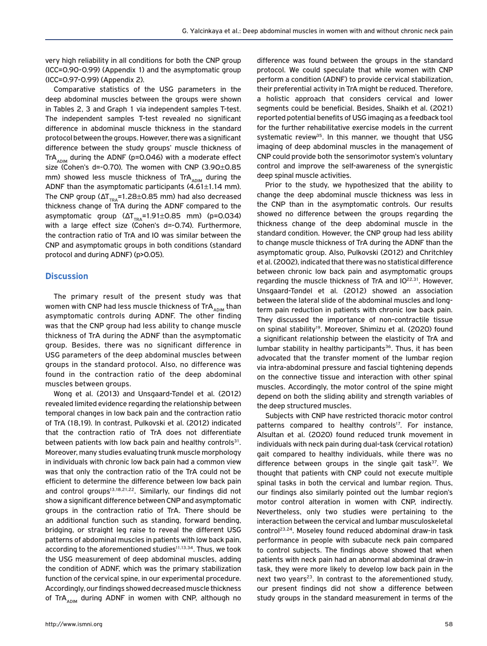very high reliability in all conditions for both the CNP group (ICC=0.90-0.99) (Appendix 1) and the asymptomatic group (ICC=0.97-0.99) (Appendix 2).

Comparative statistics of the USG parameters in the deep abdominal muscles between the groups were shown in Tables 2, 3 and Graph 1 via independent samples T-test. The independent samples T-test revealed no significant difference in abdominal muscle thickness in the standard protocol between the groups. However, there was a significant difference between the study groups' muscle thickness of TrA<sub>ADIM</sub> during the ADNF (p=0.046) with a moderate effect size (Cohen's d=-0.70). The women with CNP (3.90±0.85 mm) showed less muscle thickness of TrA<sub>ADIM</sub> during the ADNF than the asymptomatic participants  $(4.61\pm1.14$  mm). The CNP group ( $\Delta T_{\text{res}}$ =1.28±0.85 mm) had also decreased thickness change of TrA during the ADNF compared to the asymptomatic group  $(\Delta T_{\text{TRA}}=1.91\pm0.85 \text{ mm})$  (p=0.034) with a large effect size (Cohen's d=-0.74). Furthermore, the contraction ratio of TrA and IO was similar between the CNP and asymptomatic groups in both conditions (standard protocol and during ADNF) (p>0.05).

#### **Discussion**

The primary result of the present study was that women with CNP had less muscle thickness of TrA<sub>ADIM</sub> than asymptomatic controls during ADNF. The other finding was that the CNP group had less ability to change muscle thickness of TrA during the ADNF than the asymptomatic group. Besides, there was no significant difference in USG parameters of the deep abdominal muscles between groups in the standard protocol. Also, no difference was found in the contraction ratio of the deep abdominal muscles between groups.

Wong et al. (2013) and Unsgaard-Tøndel et al. (2012) revealed limited evidence regarding the relationship between temporal changes in low back pain and the contraction ratio of TrA (18,19). In contrast, Pulkovski et al. (2012) indicated that the contraction ratio of TrA does not differentiate between patients with low back pain and healthy controls $31$ . Moreover, many studies evaluating trunk muscle morphology in individuals with chronic low back pain had a common view was that only the contraction ratio of the TrA could not be efficient to determine the difference between low back pain and control groups<sup>13,18,21,22</sup>. Similarly, our findings did not show a significant difference between CNP and asymptomatic groups in the contraction ratio of TrA. There should be an additional function such as standing, forward bending, bridging, or straight leg raise to reveal the different USG patterns of abdominal muscles in patients with low back pain, according to the aforementioned studies<sup>11,13,34</sup>. Thus, we took the USG measurement of deep abdominal muscles, adding the condition of ADNF, which was the primary stabilization function of the cervical spine, in our experimental procedure. Accordingly, our findings showed decreased muscle thickness of Tr $A_{ADIM}$  during ADNF in women with CNP, although no

difference was found between the groups in the standard protocol. We could speculate that while women with CNP perform a condition (ADNF) to provide cervical stabilization, their preferential activity in TrA might be reduced. Therefore, a holistic approach that considers cervical and lower segments could be beneficial. Besides, Shaikh et al. (2021) reported potential benefits of USG imaging as a feedback tool for the further rehabilitative exercise models in the current systematic review<sup>35</sup>. In this manner, we thought that USG imaging of deep abdominal muscles in the management of CNP could provide both the sensorimotor system's voluntary control and improve the self-awareness of the synergistic deep spinal muscle activities.

Prior to the study, we hypothesized that the ability to change the deep abdominal muscle thickness was less in the CNP than in the asymptomatic controls. Our results showed no difference between the groups regarding the thickness change of the deep abdominal muscle in the standard condition. However, the CNP group had less ability to change muscle thickness of TrA during the ADNF than the asymptomatic group. Also, Pulkovski (2012) and Chritchley et al. (2002), indicated that there was no statistical difference between chronic low back pain and asymptomatic groups regarding the muscle thickness of TrA and IO<sup>22,31</sup>. However, Unsgaard-Tøndel et al. (2012) showed an association between the lateral slide of the abdominal muscles and longterm pain reduction in patients with chronic low back pain. They discussed the importance of non-contractile tissue on spinal stability<sup>19</sup>. Moreover, Shimizu et al. (2020) found a significant relationship between the elasticity of TrA and lumbar stability in healthy participants<sup>36</sup>. Thus, it has been advocated that the transfer moment of the lumbar region via intra-abdominal pressure and fascial tightening depends on the connective tissue and interaction with other spinal muscles. Accordingly, the motor control of the spine might depend on both the sliding ability and strength variables of the deep structured muscles.

Subjects with CNP have restricted thoracic motor control patterns compared to healthy controls<sup>17</sup>. For instance, Alsultan et al. (2020) found reduced trunk movement in individuals with neck pain during dual-task (cervical rotation) gait compared to healthy individuals, while there was no difference between groups in the single gait task $37$ . We thought that patients with CNP could not execute multiple spinal tasks in both the cervical and lumbar region. Thus, our findings also similarly pointed out the lumbar region's motor control alteration in women with CNP, indirectly. Nevertheless, only two studies were pertaining to the interaction between the cervical and lumbar musculoskeletal control<sup>23,24</sup>. Moseley found reduced abdominal draw-in task performance in people with subacute neck pain compared to control subjects. The findings above showed that when patients with neck pain had an abnormal abdominal draw-in task, they were more likely to develop low back pain in the next two years<sup>23</sup>. In contrast to the aforementioned study, our present findings did not show a difference between study groups in the standard measurement in terms of the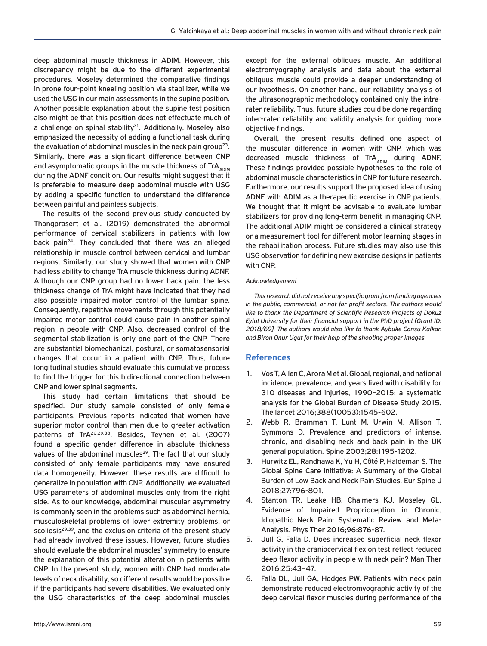deep abdominal muscle thickness in ADIM. However, this discrepancy might be due to the different experimental procedures. Moseley determined the comparative findings in prone four-point kneeling position via stabilizer, while we used the USG in our main assessments in the supine position. Another possible explanation about the supine test position also might be that this position does not effectuate much of a challenge on spinal stability<sup>31</sup>. Additionally, Moseley also emphasized the necessity of adding a functional task during the evaluation of abdominal muscles in the neck pain group<sup>23</sup>. Similarly, there was a significant difference between CNP and asymptomatic groups in the muscle thickness of TrA $_{\text{ADIM}}$ during the ADNF condition. Our results might suggest that it is preferable to measure deep abdominal muscle with USG by adding a specific function to understand the difference between painful and painless subjects.

The results of the second previous study conducted by Thongprasert et al. (2019) demonstrated the abnormal performance of cervical stabilizers in patients with low back pain<sup>24</sup>. They concluded that there was an alleged relationship in muscle control between cervical and lumbar regions. Similarly, our study showed that women with CNP had less ability to change TrA muscle thickness during ADNF. Although our CNP group had no lower back pain, the less thickness change of TrA might have indicated that they had also possible impaired motor control of the lumbar spine. Consequently, repetitive movements through this potentially impaired motor control could cause pain in another spinal region in people with CNP. Also, decreased control of the segmental stabilization is only one part of the CNP. There are substantial biomechanical, postural, or somatosensorial changes that occur in a patient with CNP. Thus, future longitudinal studies should evaluate this cumulative process to find the trigger for this bidirectional connection between CNP and lower spinal segments.

This study had certain limitations that should be specified. Our study sample consisted of only female participants. Previous reports indicated that women have superior motor control than men due to greater activation patterns of TrA<sup>20,29,38</sup>. Besides, Teyhen et al. (2007) found a specific gender difference in absolute thickness values of the abdominal muscles<sup>29</sup>. The fact that our study consisted of only female participants may have ensured data homogeneity. However, these results are difficult to generalize in population with CNP. Additionally, we evaluated USG parameters of abdominal muscles only from the right side. As to our knowledge, abdominal muscular asymmetry is commonly seen in the problems such as abdominal hernia, musculoskeletal problems of lower extremity problems, or scoliosis $29,39$ , and the exclusion criteria of the present study had already involved these issues. However, future studies should evaluate the abdominal muscles' symmetry to ensure the explanation of this potential alteration in patients with CNP. In the present study, women with CNP had moderate levels of neck disability, so different results would be possible if the participants had severe disabilities. We evaluated only the USG characteristics of the deep abdominal muscles

except for the external obliques muscle. An additional electromyography analysis and data about the external obliquus muscle could provide a deeper understanding of our hypothesis. On another hand, our reliability analysis of the ultrasonographic methodology contained only the intrarater reliability. Thus, future studies could be done regarding inter-rater reliability and validity analysis for guiding more objective findings.

Overall, the present results defined one aspect of the muscular difference in women with CNP, which was decreased muscle thickness of  $TrA_{\text{ADM}}$  during ADNF. These findings provided possible hypotheses to the role of abdominal muscle characteristics in CNP for future research. Furthermore, our results support the proposed idea of using ADNF with ADIM as a therapeutic exercise in CNP patients. We thought that it might be advisable to evaluate lumbar stabilizers for providing long-term benefit in managing CNP. The additional ADIM might be considered a clinical strategy or a measurement tool for different motor learning stages in the rehabilitation process. Future studies may also use this USG observation for defining new exercise designs in patients with CNP.

#### *Acknowledgement*

*This research did not receive any specific grant from funding agencies in the public, commercial, or not-for-profit sectors. The authors would like to thank the Department of Scientific Research Projects of Dokuz Eylul University for their financial support in the PhD project [Grant ID: 2018/69]. The authors would also like to thank Aybuke Cansu Kalkan and Biron Onur Ugut for their help of the shooting proper images.*

# **References**

- 1. Vos T, Allen C, Arora M et al. Global, regional, and national incidence, prevalence, and years lived with disability for 310 diseases and injuries, 1990–2015: a systematic analysis for the Global Burden of Disease Study 2015. The lancet 2016;388(10053):1545-602.
- 2. Webb R, Brammah T, Lunt M, Urwin M, Allison T, Symmons D. Prevalence and predictors of intense, chronic, and disabling neck and back pain in the UK general population. Spine 2003;28:1195-1202.
- 3. Hurwitz EL, Randhawa K, Yu H, Côté P, Haldeman S. The Global Spine Care Initiative: A Summary of the Global Burden of Low Back and Neck Pain Studies. Eur Spine J 2018;27:796-801.
- 4. Stanton TR, Leake HB, Chalmers KJ, Moseley GL. Evidence of Impaired Proprioception in Chronic, Idiopathic Neck Pain: Systematic Review and Meta-Analysis. Phys Ther 2016;96:876-87.
- 5. Jull G, Falla D. Does increased superficial neck flexor activity in the craniocervical flexion test reflect reduced deep flexor activity in people with neck pain? Man Ther 2016;25:43–47.
- 6. Falla DL, Jull GA, Hodges PW. Patients with neck pain demonstrate reduced electromyographic activity of the deep cervical flexor muscles during performance of the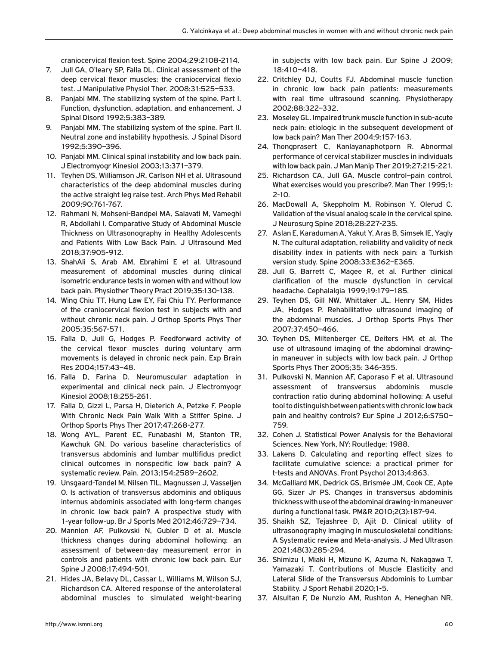craniocervical flexion test. Spine 2004;29:2108-2114.

- 7. Jull GA, O'leary SP, Falla DL. Clinical assessment of the deep cervical flexor muscles: the craniocervical flexio test. J Manipulative Physiol Ther. 2008;31:525–533.
- 8. Panjabi MM. The stabilizing system of the spine. Part I. Function, dysfunction, adaptation, and enhancement. J Spinal Disord 1992;5:383–389.
- 9. Panjabi MM. The stabilizing system of the spine. Part II. Neutral zone and instability hypothesis. J Spinal Disord 1992;5:390–396.
- 10. Panjabi MM. Clinical spinal instability and low back pain. J Electromyogr Kinesiol 2003;13:371–379.
- 11. Teyhen DS, Williamson JR, Carlson NH et al. Ultrasound characteristics of the deep abdominal muscles during the active straight leg raise test. Arch Phys Med Rehabil 2009;90:761-767.
- 12. Rahmani N, Mohseni-Bandpei MA, Salavati M, Vameghi R, Abdollahi I. Comparative Study of Abdominal Muscle Thickness on Ultrasonography in Healthy Adolescents and Patients With Low Back Pain. J Ultrasound Med 2018;37:905-912.
- 13. ShahAli S, Arab AM, Ebrahimi E et al. Ultrasound measurement of abdominal muscles during clinical isometric endurance tests in women with and without low back pain. Physiother Theory Pract 2019;35:130-138.
- 14. Wing Chiu TT, Hung Law EY, Fai Chiu TY. Performance of the craniocervical flexion test in subjects with and without chronic neck pain. J Orthop Sports Phys Ther 2005;35:567-571.
- 15. Falla D, Jull G, Hodges P. Feedforward activity of the cervical flexor muscles during voluntary arm movements is delayed in chronic neck pain. Exp Brain Res 2004;157:43–48.
- 16. Falla D, Farina D. Neuromuscular adaptation in experimental and clinical neck pain. J Electromyogr Kinesiol 2008;18:255-261.
- 17. Falla D, Gizzi L, Parsa H, Dieterich A, Petzke F. People With Chronic Neck Pain Walk With a Stiffer Spine. J Orthop Sports Phys Ther 2017;47:268-277.
- 18. Wong AYL, Parent EC, Funabashi M, Stanton TR, Kawchuk GN. Do various baseline characteristics of transversus abdominis and lumbar multifidus predict clinical outcomes in nonspecific low back pain? A systematic review. Pain. 2013;154:2589–2602.
- 19. Unsgaard-Tøndel M, Nilsen TIL, Magnussen J, Vasseljen O. Is activation of transversus abdominis and obliquus internus abdominis associated with long-term changes in chronic low back pain? A prospective study with 1-year follow-up. Br J Sports Med 2012;46:729–734.
- 20. Mannion AF, Pulkovski N, Gubler D et al. Muscle thickness changes during abdominal hollowing: an assessment of between-day measurement error in controls and patients with chronic low back pain. Eur Spine J 2008;17:494-501.
- 21. Hides JA, Belavy DL, Cassar L, Williams M, Wilson SJ, Richardson CA. Altered response of the anterolateral abdominal muscles to simulated weight-bearing

in subjects with low back pain. Eur Spine J 2009; 18:410–418.

- 22. Critchley DJ, Coutts FJ. Abdominal muscle function in chronic low back pain patients: measurements with real time ultrasound scanning. Physiotherapy 2002;88:322–332.
- 23. Moseley GL. Impaired trunk muscle function in sub-acute neck pain: etiologic in the subsequent development of low back pain? Man Ther 2004;9:157-163.
- 24. Thongprasert C, Kanlayanaphotporn R. Abnormal performance of cervical stabilizer muscles in individuals with low back pain. J Man Manip Ther 2019;27:215-221.
- 25. Richardson CA, Jull GA. Muscle control–pain control. What exercises would you prescribe?. Man Ther 1995;1: 2-10.
- 26. MacDowall A, Skeppholm M, Robinson Y, Olerud C. Validation of the visual analog scale in the cervical spine. J Neurosurg Spine 2018;28:227-235.
- 27. Aslan E, Karaduman A, Yakut Y, Aras B, Simsek IE, Yagly N. The cultural adaptation, reliability and validity of neck disability index in patients with neck pain: a Turkish version study. Spine 2008;33:E362–E365.
- 28. Jull G, Barrett C, Magee R, et al. Further clinical clarification of the muscle dysfunction in cervical headache. Cephalalgia 1999;19:179–185.
- 29. Teyhen DS, Gill NW, Whittaker JL, Henry SM, Hides JA, Hodges P. Rehabilitative ultrasound imaging of the abdominal muscles. J Orthop Sports Phys Ther 2007;37:450–466.
- 30. Teyhen DS, Miltenberger CE, Deiters HM, et al. The use of ultrasound imaging of the abdominal drawingin maneuver in subjects with low back pain. J Orthop Sports Phys Ther 2005;35: 346-355.
- 31. Pulkovski N, Mannion AF, Caporaso F et al. Ultrasound assessment of transversus abdominis muscle contraction ratio during abdominal hollowing: A useful tool to distinguish between patients with chronic low back pain and healthy controls? Eur Spine J 2012;6:S750– 759.
- 32. Cohen J. Statistical Power Analysis for the Behavioral Sciences. New York, NY: Routledge; 1988.
- 33. Lakens D. Calculating and reporting effect sizes to facilitate cumulative science: a practical primer for t-tests and ANOVAs. Front Psychol 2013;4:863.
- 34. McGalliard MK, Dedrick GS, Brismée JM, Cook CE, Apte GG, Sizer Jr PS. Changes in transversus abdominis thickness with use of the abdominal drawing-in maneuver during a functional task. PM&R 2010;2(3):187-94.
- 35. Shaikh SZ, Tejashree D, Ajit D. Clinical utility of ultrasonography imaging in musculoskeletal conditions: A Systematic review and Meta-analysis. J Med Ultrason 2021;48(3):285-294.
- 36. Shimizu I, Miaki H, Mizuno K, Azuma N, Nakagawa T, Yamazaki T. Contributions of Muscle Elasticity and Lateral Slide of the Transversus Abdominis to Lumbar Stability. J Sport Rehabil 2020;1-5.
- 37. Alsultan F, De Nunzio AM, Rushton A, Heneghan NR,